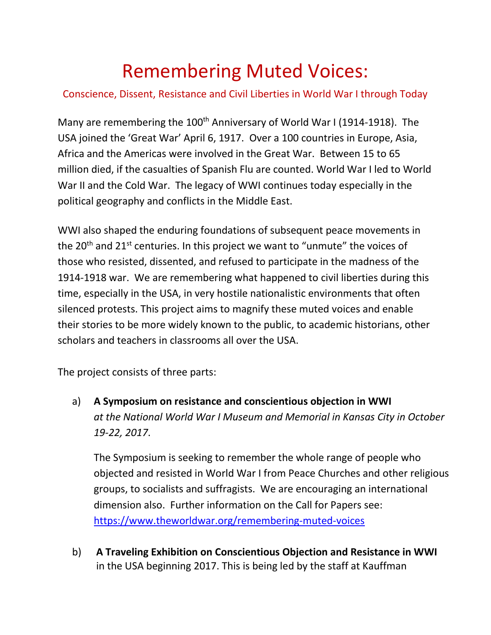## Remembering Muted Voices:

## Conscience, Dissent, Resistance and Civil Liberties in World War I through Today

Many are remembering the 100<sup>th</sup> Anniversary of World War I (1914-1918). The USA joined the 'Great War' April 6, 1917. Over a 100 countries in Europe, Asia, Africa and the Americas were involved in the Great War. Between 15 to 65 million died, if the casualties of Spanish Flu are counted. World War I led to World War II and the Cold War. The legacy of WWI continues today especially in the political geography and conflicts in the Middle East.

WWI also shaped the enduring foundations of subsequent peace movements in the  $20<sup>th</sup>$  and  $21<sup>st</sup>$  centuries. In this project we want to "unmute" the voices of those who resisted, dissented, and refused to participate in the madness of the 1914-1918 war. We are remembering what happened to civil liberties during this time, especially in the USA, in very hostile nationalistic environments that often silenced protests. This project aims to magnify these muted voices and enable their stories to be more widely known to the public, to academic historians, other scholars and teachers in classrooms all over the USA.

The project consists of three parts:

a) **A Symposium on resistance and conscientious objection in WWI** *at the National World War I Museum and Memorial in Kansas City in October 19-22, 2017*.

The Symposium is seeking to remember the whole range of people who objected and resisted in World War I from Peace Churches and other religious groups, to socialists and suffragists. We are encouraging an international dimension also. Further information on the Call for Papers see: <https://www.theworldwar.org/remembering-muted-voices>

b) **A Traveling Exhibition on Conscientious Objection and Resistance in WWI** in the USA beginning 2017. This is being led by the staff at Kauffman